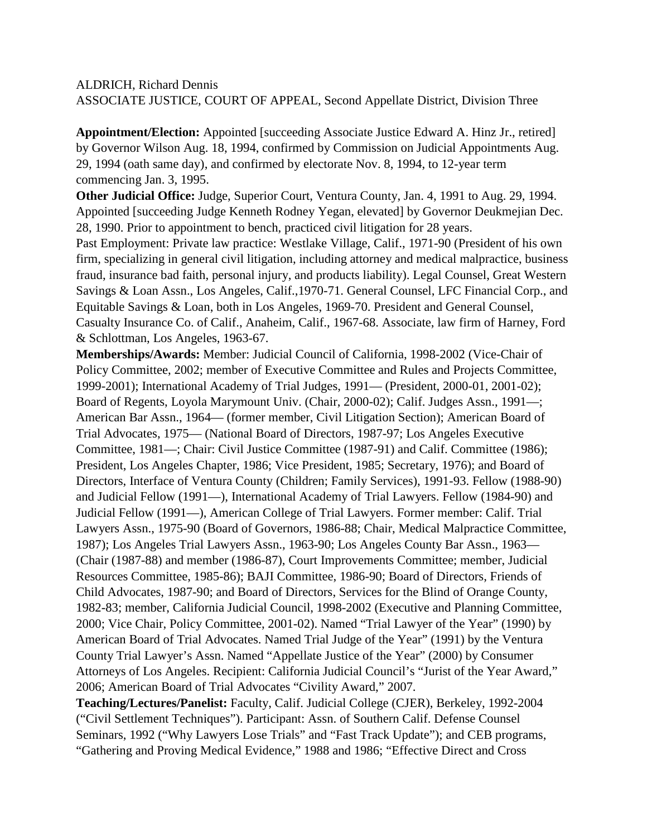ALDRICH, Richard Dennis ASSOCIATE JUSTICE, COURT OF APPEAL, Second Appellate District, Division Three

**Appointment/Election:** Appointed [succeeding Associate Justice Edward A. Hinz Jr., retired] by Governor Wilson Aug. 18, 1994, confirmed by Commission on Judicial Appointments Aug. 29, 1994 (oath same day), and confirmed by electorate Nov. 8, 1994, to 12-year term commencing Jan. 3, 1995.

**Other Judicial Office:** Judge, Superior Court, Ventura County, Jan. 4, 1991 to Aug. 29, 1994. Appointed [succeeding Judge Kenneth Rodney Yegan, elevated] by Governor Deukmejian Dec. 28, 1990. Prior to appointment to bench, practiced civil litigation for 28 years.

Past Employment: Private law practice: Westlake Village, Calif., 1971-90 (President of his own firm, specializing in general civil litigation, including attorney and medical malpractice, business fraud, insurance bad faith, personal injury, and products liability). Legal Counsel, Great Western Savings & Loan Assn., Los Angeles, Calif.,1970-71. General Counsel, LFC Financial Corp., and Equitable Savings & Loan, both in Los Angeles, 1969-70. President and General Counsel, Casualty Insurance Co. of Calif., Anaheim, Calif., 1967-68. Associate, law firm of Harney, Ford & Schlottman, Los Angeles, 1963-67.

**Memberships/Awards:** Member: Judicial Council of California, 1998-2002 (Vice-Chair of Policy Committee, 2002; member of Executive Committee and Rules and Projects Committee, 1999-2001); International Academy of Trial Judges, 1991— (President, 2000-01, 2001-02); Board of Regents, Loyola Marymount Univ. (Chair, 2000-02); Calif. Judges Assn., 1991—; American Bar Assn., 1964— (former member, Civil Litigation Section); American Board of Trial Advocates, 1975— (National Board of Directors, 1987-97; Los Angeles Executive Committee, 1981—; Chair: Civil Justice Committee (1987-91) and Calif. Committee (1986); President, Los Angeles Chapter, 1986; Vice President, 1985; Secretary, 1976); and Board of Directors, Interface of Ventura County (Children; Family Services), 1991-93. Fellow (1988-90) and Judicial Fellow (1991—), International Academy of Trial Lawyers. Fellow (1984-90) and Judicial Fellow (1991—), American College of Trial Lawyers. Former member: Calif. Trial Lawyers Assn., 1975-90 (Board of Governors, 1986-88; Chair, Medical Malpractice Committee, 1987); Los Angeles Trial Lawyers Assn., 1963-90; Los Angeles County Bar Assn., 1963— (Chair (1987-88) and member (1986-87), Court Improvements Committee; member, Judicial Resources Committee, 1985-86); BAJI Committee, 1986-90; Board of Directors, Friends of Child Advocates, 1987-90; and Board of Directors, Services for the Blind of Orange County, 1982-83; member, California Judicial Council, 1998-2002 (Executive and Planning Committee, 2000; Vice Chair, Policy Committee, 2001-02). Named "Trial Lawyer of the Year" (1990) by American Board of Trial Advocates. Named Trial Judge of the Year" (1991) by the Ventura County Trial Lawyer's Assn. Named "Appellate Justice of the Year" (2000) by Consumer Attorneys of Los Angeles. Recipient: California Judicial Council's "Jurist of the Year Award," 2006; American Board of Trial Advocates "Civility Award," 2007.

**Teaching/Lectures/Panelist:** Faculty, Calif. Judicial College (CJER), Berkeley, 1992-2004 ("Civil Settlement Techniques"). Participant: Assn. of Southern Calif. Defense Counsel Seminars, 1992 ("Why Lawyers Lose Trials" and "Fast Track Update"); and CEB programs, "Gathering and Proving Medical Evidence," 1988 and 1986; "Effective Direct and Cross